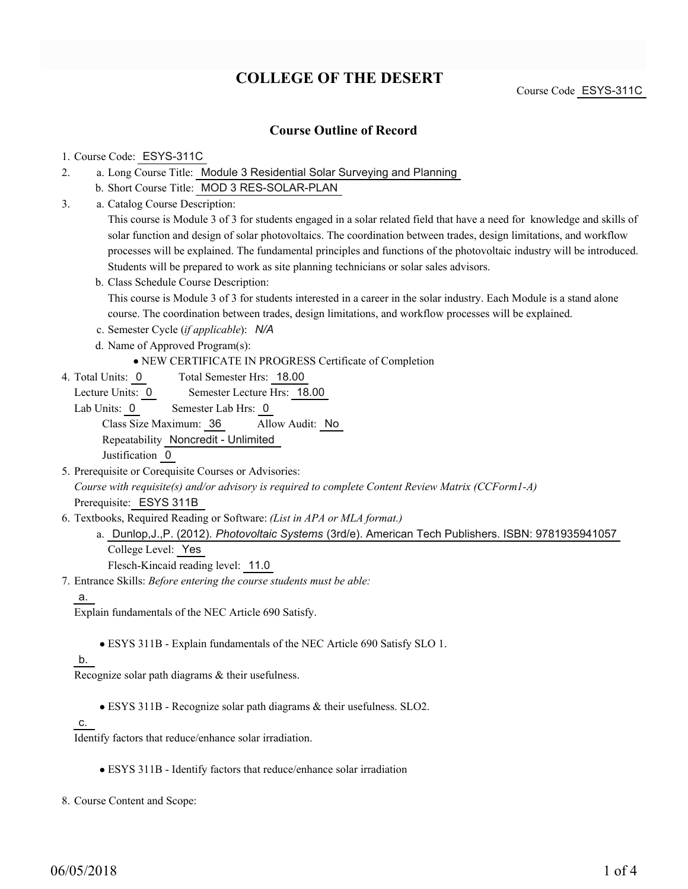# **COLLEGE OF THE DESERT**

Course Code ESYS-311C

## **Course Outline of Record**

#### 1. Course Code: ESYS-311C

- a. Long Course Title: Module 3 Residential Solar Surveying and Planning 2.
	- b. Short Course Title: MOD 3 RES-SOLAR-PLAN
- Catalog Course Description: a. 3.

This course is Module 3 of 3 for students engaged in a solar related field that have a need for knowledge and skills of solar function and design of solar photovoltaics. The coordination between trades, design limitations, and workflow processes will be explained. The fundamental principles and functions of the photovoltaic industry will be introduced. Students will be prepared to work as site planning technicians or solar sales advisors.

- b. Class Schedule Course Description: This course is Module 3 of 3 for students interested in a career in the solar industry. Each Module is a stand alone course. The coordination between trades, design limitations, and workflow processes will be explained.
- c. Semester Cycle (*if applicable*): *N/A*
- d. Name of Approved Program(s):

#### NEW CERTIFICATE IN PROGRESS Certificate of Completion

Total Semester Hrs: 18.00 4. Total Units: 0

Lecture Units: 0 Semester Lecture Hrs: 18.00

- Lab Units: 0 Semester Lab Hrs: 0 Class Size Maximum: 36 Allow Audit: No Repeatability Noncredit - Unlimited Justification 0
- 5. Prerequisite or Corequisite Courses or Advisories: *Course with requisite(s) and/or advisory is required to complete Content Review Matrix (CCForm1-A)* Prerequisite: ESYS 311B
- Textbooks, Required Reading or Software: *(List in APA or MLA format.)* 6.

a. Dunlop,J.,P. (2012). *Photovoltaic Systems* (3rd/e). American Tech Publishers. ISBN: 9781935941057 College Level: Yes

Flesch-Kincaid reading level: 11.0

- Entrance Skills: *Before entering the course students must be able:* 7.
	- a.

Explain fundamentals of the NEC Article 690 Satisfy.

ESYS 311B - Explain fundamentals of the NEC Article 690 Satisfy SLO 1.

#### b.

Recognize solar path diagrams & their usefulness.

ESYS 311B - Recognize solar path diagrams & their usefulness. SLO2.

#### c.

Identify factors that reduce/enhance solar irradiation.

ESYS 311B - Identify factors that reduce/enhance solar irradiation

8. Course Content and Scope: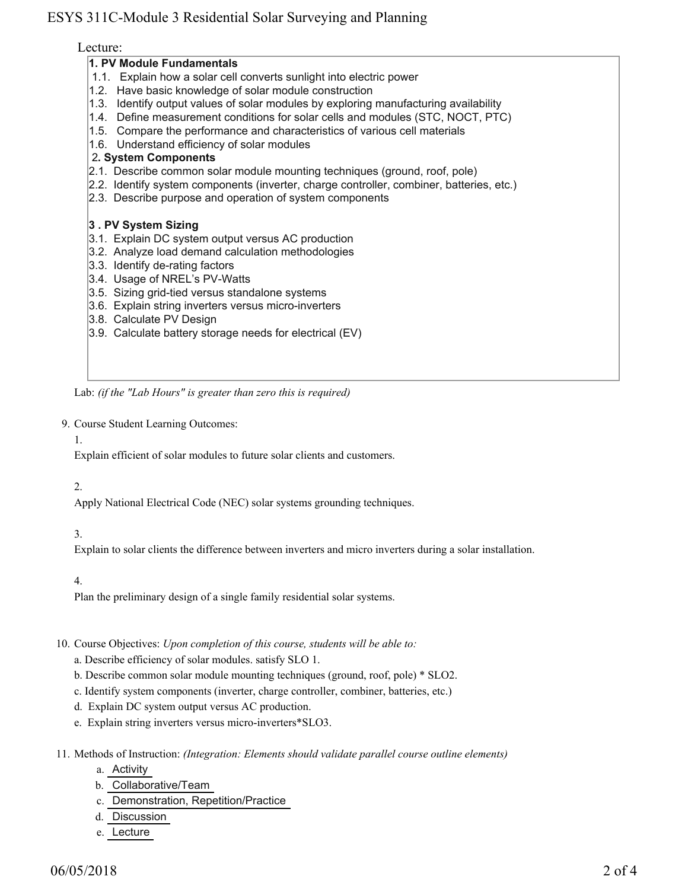# ESYS 311C-Module 3 Residential Solar Surveying and Planning

## Lecture:

## **1. PV Module Fundamentals**

- 1.1. Explain how a solar cell converts sunlight into electric power
- 1.2. Have basic knowledge of solar module construction
- 1.3. Identify output values of solar modules by exploring manufacturing availability
- 1.4. Define measurement conditions for solar cells and modules (STC, NOCT, PTC)
- 1.5. Compare the performance and characteristics of various cell materials
- 1.6. Understand efficiency of solar modules

## 2**. System Components**

- 2.1. Describe common solar module mounting techniques (ground, roof, pole)
- 2.2. Identify system components (inverter, charge controller, combiner, batteries, etc.)
- 2.3. Describe purpose and operation of system components

## **3 . PV System Sizing**

- 3.1. Explain DC system output versus AC production
- 3.2. Analyze load demand calculation methodologies
- 3.3. Identify de-rating factors
- 3.4. Usage of NREL's PV-Watts
- 3.5. Sizing grid-tied versus standalone systems
- 3.6. Explain string inverters versus micro-inverters
- 3.8. Calculate PV Design
- 3.9. Calculate battery storage needs for electrical (EV)

Lab: *(if the "Lab Hours" is greater than zero this is required)*

9. Course Student Learning Outcomes:

#### 1.

Explain efficient of solar modules to future solar clients and customers.

## 2.

Apply National Electrical Code (NEC) solar systems grounding techniques.

## 3.

Explain to solar clients the difference between inverters and micro inverters during a solar installation.

## 4.

Plan the preliminary design of a single family residential solar systems.

10. Course Objectives: Upon completion of this course, students will be able to:

a. Describe efficiency of solar modules. satisfy SLO 1.

- b. Describe common solar module mounting techniques (ground, roof, pole) \* SLO2.
- c. Identify system components (inverter, charge controller, combiner, batteries, etc.)
- d. Explain DC system output versus AC production.
- e. Explain string inverters versus micro-inverters\*SLO3.

Methods of Instruction: *(Integration: Elements should validate parallel course outline elements)* 11.

- a. Activity
- b. Collaborative/Team
- c. Demonstration, Repetition/Practice
- d. Discussion
- e. Lecture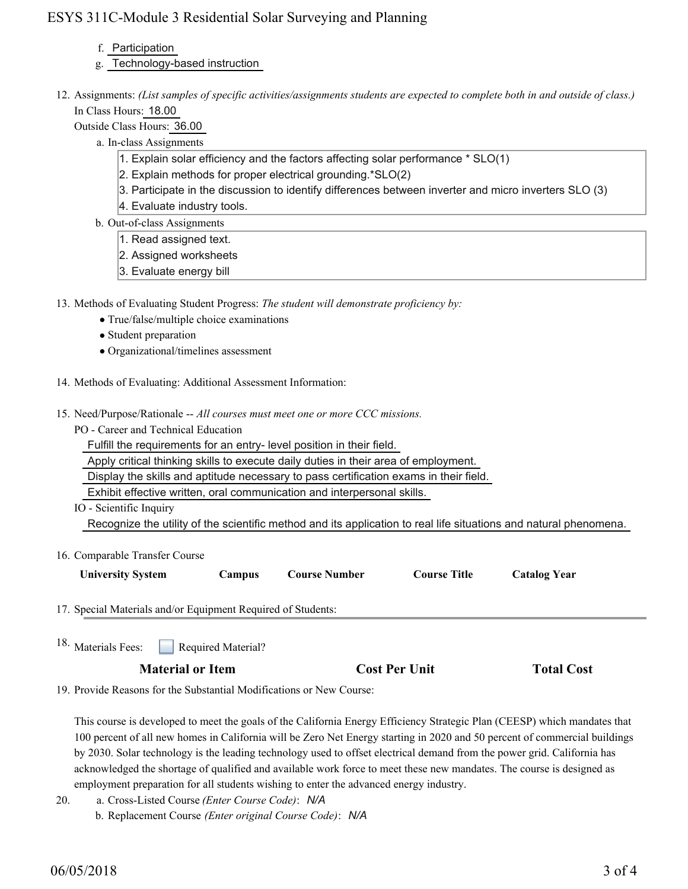# ESYS 311C-Module 3 Residential Solar Surveying and Planning

- f. Participation
- g. Technology-based instruction
- 12. Assignments: (List samples of specific activities/assignments students are expected to complete both in and outside of class.) In Class Hours: 18.00
	- Outside Class Hours: 36.00
		- a. In-class Assignments
			- 1. Explain solar efficiency and the factors affecting solar performance \* SLO(1)
			- 2. Explain methods for proper electrical grounding.\*SLO(2)
			- 3. Participate in the discussion to identify differences between inverter and micro inverters SLO (3)
			- 4. Evaluate industry tools.
		- b. Out-of-class Assignments
			- 1. Read assigned text.
			- 2. Assigned worksheets
			- 3. Evaluate energy bill
- 13. Methods of Evaluating Student Progress: The student will demonstrate proficiency by:
	- True/false/multiple choice examinations
	- Student preparation
	- Organizational/timelines assessment
- 14. Methods of Evaluating: Additional Assessment Information:
- 15. Need/Purpose/Rationale -- All courses must meet one or more CCC missions.
	- PO Career and Technical Education
		- Fulfill the requirements for an entry- level position in their field.
		- Apply critical thinking skills to execute daily duties in their area of employment.
		- Display the skills and aptitude necessary to pass certification exams in their field.
		- Exhibit effective written, oral communication and interpersonal skills.
	- IO Scientific Inquiry

Recognize the utility of the scientific method and its application to real life situations and natural phenomena.

| 16. Comparable Transfer Course |        |                      |                     |                     |
|--------------------------------|--------|----------------------|---------------------|---------------------|
| <b>University System</b>       | Campus | <b>Course Number</b> | <b>Course Title</b> | <b>Catalog Year</b> |

17. Special Materials and/or Equipment Required of Students:

Required Material? 18. Materials Fees:

## **Material or Item Cost Per Unit Total Cost Per Unit**

19. Provide Reasons for the Substantial Modifications or New Course:

This course is developed to meet the goals of the California Energy Efficiency Strategic Plan (CEESP) which mandates that 100 percent of all new homes in California will be Zero Net Energy starting in 2020 and 50 percent of commercial buildings by 2030. Solar technology is the leading technology used to offset electrical demand from the power grid. California has acknowledged the shortage of qualified and available work force to meet these new mandates. The course is designed as employment preparation for all students wishing to enter the advanced energy industry.

- a. Cross-Listed Course *(Enter Course Code)*: *N/A* 20.
	- b. Replacement Course *(Enter original Course Code)*: *N/A*